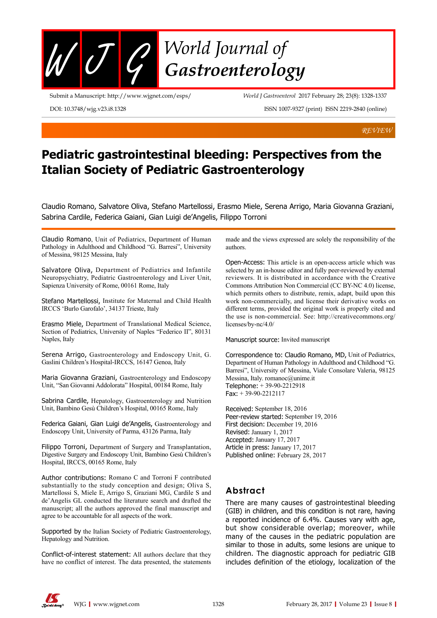

Submit a Manuscript: http://www.wjgnet.com/esps/

*World J Gastroenterol* 2017 February 28; 23(8): 1328-1337

DOI: 10.3748/wjg.v23.i8.1328

ISSN 1007-9327 (print) ISSN 2219-2840 (online)

*REVIEW*

# **Pediatric gastrointestinal bleeding: Perspectives from the Italian Society of Pediatric Gastroenterology**

Claudio Romano, Salvatore Oliva, Stefano Martellossi, Erasmo Miele, Serena Arrigo, Maria Giovanna Graziani, Sabrina Cardile, Federica Gaiani, Gian Luigi de'Angelis, Filippo Torroni

Claudio Romano, Unit of Pediatrics, Department of Human Pathology in Adulthood and Childhood "G. Barresi", University of Messina, 98125 Messina, Italy

Salvatore Oliva, Department of Pediatrics and Infantile Neuropsychiatry, Pediatric Gastroenterology and Liver Unit, Sapienza University of Rome, 00161 Rome, Italy

Stefano Martellossi, Institute for Maternal and Child Health IRCCS 'Burlo Garofalo', 34137 Trieste, Italy

Erasmo Miele, Department of Translational Medical Science, Section of Pediatrics, University of Naples "Federico II", 80131 Naples, Italy

Serena Arrigo, Gastroenterology and Endoscopy Unit, G. Gaslini Children's Hospital-IRCCS, 16147 Genoa, Italy

Maria Giovanna Graziani, Gastroenterology and Endoscopy Unit, "San Giovanni Addolorata" Hospital, 00184 Rome, Italy

Sabrina Cardile, Hepatology, Gastroenterology and Nutrition Unit, Bambino Gesù Children's Hospital, 00165 Rome, Italy

Federica Gaiani, Gian Luigi de'Angelis, Gastroenterology and Endoscopy Unit, University of Parma, 43126 Parma, Italy

Filippo Torroni, Department of Surgery and Transplantation, Digestive Surgery and Endoscopy Unit, Bambino Gesù Children's Hospital, IRCCS, 00165 Rome, Italy

Author contributions: Romano C and Torroni F contributed substantially to the study conception and design; Oliva S, Martellossi S, Miele E, Arrigo S, Graziani MG, Cardile S and de'Angelis GL conducted the literature search and drafted the manuscript; all the authors approved the final manuscript and agree to be accountable for all aspects of the work.

Supported by the Italian Society of Pediatric Gastroenterology, Hepatology and Nutrition.

Conflict-of-interest statement: All authors declare that they have no conflict of interest. The data presented, the statements made and the views expressed are solely the responsibility of the authors.

Open-Access: This article is an open-access article which was selected by an in-house editor and fully peer-reviewed by external reviewers. It is distributed in accordance with the Creative Commons Attribution Non Commercial (CC BY-NC 4.0) license, which permits others to distribute, remix, adapt, build upon this work non-commercially, and license their derivative works on different terms, provided the original work is properly cited and the use is non-commercial. See: http://creativecommons.org/ licenses/by-nc/4.0/

Manuscript source: Invited manuscript

Correspondence to: Claudio Romano, MD, Unit of Pediatrics, Department of Human Pathology in Adulthood and Childhood "G. Barresi", University of Messina, Viale Consolare Valeria, 98125 Messina, Italy. romanoc@unime.it Telephone: + 39-90-2212918 Fax: + 39-90-2212117

Received: September 18, 2016 Peer-review started: September 19, 2016 First decision: December 19, 2016 Revised: January 1, 2017 Accepted: January 17, 2017 Article in press: January 17, 2017 Published online: February 28, 2017

## **Abstract**

There are many causes of gastrointestinal bleeding (GIB) in children, and this condition is not rare, having a reported incidence of 6.4%. Causes vary with age, but show considerable overlap; moreover, while many of the causes in the pediatric population are similar to those in adults, some lesions are unique to children. The diagnostic approach for pediatric GIB includes definition of the etiology, localization of the

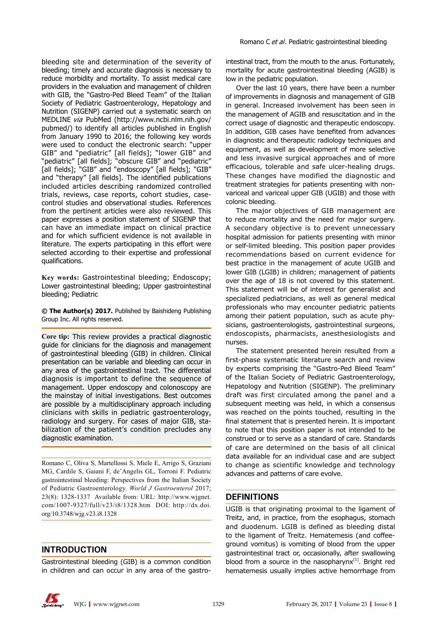bleeding site and determination of the severity of bleeding; timely and accurate diagnosis is necessary to reduce morbidity and mortality. To assist medical care providers in the evaluation and management of children with GIB, the "Gastro-Ped Bleed Team" of the Italian Society of Pediatric Gastroenterology, Hepatology and Nutrition (SIGENP) carried out a systematic search on MEDLINE via PubMed (http://www.ncbi.nlm.nih.gov/ pubmed/) to identify all articles published in English from January 1990 to 2016; the following key words were used to conduct the electronic search: "upper GIB" and "pediatric" [all fields]; "lower GIB" and "pediatric" [all fields]; "obscure GIB" and "pediatric" [all fields]; "GIB" and "endoscopy" [all fields]; "GIB" and "therapy" [all fields]. The identified publications included articles describing randomized controlled trials, reviews, case reports, cohort studies, casecontrol studies and observational studies. References from the pertinent articles were also reviewed. This paper expresses a position statement of SIGENP that can have an immediate impact on clinical practice and for which sufficient evidence is not available in literature. The experts participating in this effort were selected according to their expertise and professional qualifications.

**Key words:** Gastrointestinal bleeding; Endoscopy; Lower gastrointestinal bleeding; Upper gastrointestinal bleeding; Pediatric

**© The Author(s) 2017.** Published by Baishideng Publishing Group Inc. All rights reserved.

**Core tip:** This review provides a practical diagnostic guide for clinicians for the diagnosis and management of gastrointestinal bleeding (GIB) in children. Clinical presentation can be variable and bleeding can occur in any area of the gastrointestinal tract. The differential diagnosis is important to define the sequence of management. Upper endoscopy and colonoscopy are the mainstay of initial investigations. Best outcomes are possible by a multidisciplinary approach including clinicians with skills in pediatric gastroenterology, radiology and surgery. For cases of major GIB, stabilization of the patient's condition precludes any diagnostic examination.

Romano C, Oliva S, Martellossi S, Miele E, Arrigo S, Graziani MG, Cardile S, Gaiani F, de'Angelis GL, Torroni F. Pediatric gastrointestinal bleeding: Perspectives from the Italian Society of Pediatric Gastroenterology. *World J Gastroenterol* 2017; 23(8): 1328-1337 Available from: URL: http://www.wjgnet. com/1007-9327/full/v23/i8/1328.htm DOI: http://dx.doi. org/10.3748/wjg.v23.i8.1328

## **INTRODUCTION**

Gastrointestinal bleeding (GIB) is a common condition in children and can occur in any area of the gastrointestinal tract, from the mouth to the anus. Fortunately, mortality for acute gastrointestinal bleeding (AGIB) is low in the pediatric population.

Over the last 10 years, there have been a number of improvements in diagnosis and management of GIB in general. Increased involvement has been seen in the management of AGIB and resuscitation and in the correct usage of diagnostic and therapeutic endoscopy. In addition, GIB cases have benefited from advances in diagnostic and therapeutic radiology techniques and equipment, as well as development of more selective and less invasive surgical approaches and of more efficacious, tolerable and safe ulcer-healing drugs. These changes have modified the diagnostic and treatment strategies for patients presenting with nonvariceal and variceal upper GIB (UGIB) and those with colonic bleeding.

The major objectives of GIB management are to reduce mortality and the need for major surgery. A secondary objective is to prevent unnecessary hospital admission for patients presenting with minor or self-limited bleeding. This position paper provides recommendations based on current evidence for best practice in the management of acute UGIB and lower GIB (LGIB) in children; management of patients over the age of 18 is not covered by this statement. This statement will be of interest for generalist and specialized pediatricians, as well as general medical professionals who may encounter pediatric patients among their patient population, such as acute physicians, gastroenterologists, gastrointestinal surgeons, endoscopists, pharmacists, anesthesiologists and nurses.

The statement presented herein resulted from a first-phase systematic literature search and review by experts comprising the "Gastro-Ped Bleed Team" of the Italian Society of Pediatric Gastroenterology, Hepatology and Nutrition (SIGENP). The preliminary draft was first circulated among the panel and a subsequent meeting was held, in which a consensus was reached on the points touched, resulting in the final statement that is presented herein. It is important to note that this position paper is not intended to be construed or to serve as a standard of care. Standards of care are determined on the basis of all clinical data available for an individual case and are subject to change as scientific knowledge and technology advances and patterns of care evolve.

## **DEFINITIONS**

UGIB is that originating proximal to the ligament of Treitz, and, in practice, from the esophagus, stomach and duodenum. LGIB is defined as bleeding distal to the ligament of Treitz. Hematemesis (and coffeeground vomitus) is vomiting of blood from the upper gastrointestinal tract or, occasionally, after swallowing blood from a source in the nasopharyn $x^{[1]}$ . Bright red hematemesis usually implies active hemorrhage from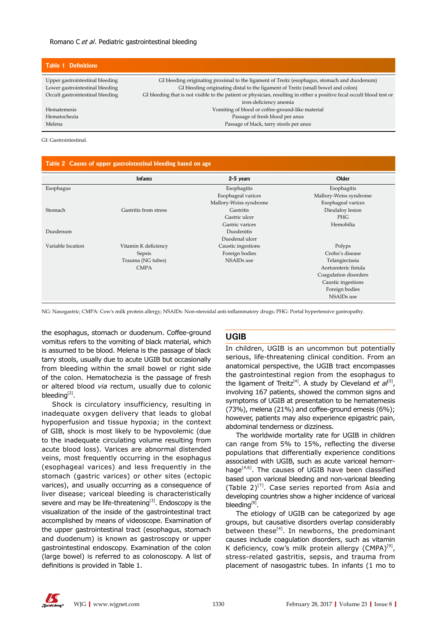| <b>Table 1 Definitions</b>       |                                                                                                                        |
|----------------------------------|------------------------------------------------------------------------------------------------------------------------|
| Upper gastrointestinal bleeding  | GI bleeding originating proximal to the ligament of Treitz (esophagus, stomach and duodenum)                           |
| Lower gastrointestinal bleeding  | GI bleeding originating distal to the ligament of Treitz (small bowel and colon)                                       |
| Occult gastrointestinal bleeding | GI bleeding that is not visible to the patient or physician, resulting in either a positive fecal occult blood test or |
|                                  | iron-deficiency anemia                                                                                                 |
| <b>Hematemesis</b>               | Vomiting of blood or coffee-ground-like material                                                                       |
| Hematochezia                     | Passage of fresh blood per anus                                                                                        |
| Melena                           | Passage of black, tarry stools per anus                                                                                |

GI: Gastrointestinal.

| Table 2 Causes of upper gastrointestinal bleeding based on age |                       |                        |                        |  |
|----------------------------------------------------------------|-----------------------|------------------------|------------------------|--|
|                                                                | <b>Infants</b>        | 2-5 years              | Older                  |  |
| Esophagus                                                      |                       | Esophagitis            | Esophagitis            |  |
|                                                                |                       | Esophageal varices     | Mallory-Weiss syndrome |  |
|                                                                |                       | Mallory-Weiss syndrome | Esophageal varices     |  |
| Stomach                                                        | Gastritis from stress | Gastritis              | Dieulafoy lesion       |  |
|                                                                |                       | Gastric ulcer          | <b>PHG</b>             |  |
|                                                                |                       | Gastric varices        | Hemobilia              |  |
| Duodenum                                                       |                       | Duodenitis             |                        |  |
|                                                                |                       | Duodenal ulcer         |                        |  |
| Variable location                                              | Vitamin K deficiency  | Caustic ingestions     | Polyps                 |  |
|                                                                | Sepsis                | Foreign bodies         | Crohn's disease        |  |
|                                                                | Trauma (NG tubes)     | <b>NSAIDs</b> use      | Telangiectasia         |  |
|                                                                | <b>CMPA</b>           |                        | Aortoenteric fistula   |  |
|                                                                |                       |                        | Coagulation disorders  |  |
|                                                                |                       |                        | Caustic ingestions     |  |
|                                                                |                       |                        | Foreign bodies         |  |
|                                                                |                       |                        | NSAIDs use             |  |

NG: Nasogastric; CMPA: Cow's milk protein allergy; NSAIDs: Non-steroidal anti-inflammatory drugs; PHG: Portal hypertensive gastropathy.

the esophagus, stomach or duodenum. Coffee-ground vomitus refers to the vomiting of black material, which is assumed to be blood. Melena is the passage of black tarry stools, usually due to acute UGIB but occasionally from bleeding within the small bowel or right side of the colon. Hematochezia is the passage of fresh or altered blood *via* rectum, usually due to colonic bleeding $^{[2]}$ .

Shock is circulatory insufficiency, resulting in inadequate oxygen delivery that leads to global hypoperfusion and tissue hypoxia; in the context of GIB, shock is most likely to be hypovolemic (due to the inadequate circulating volume resulting from acute blood loss). Varices are abnormal distended veins, most frequently occurring in the esophagus (esophageal varices) and less frequently in the stomach (gastric varices) or other sites (ectopic varices), and usually occurring as a consequence of liver disease; variceal bleeding is characteristically severe and may be life-threatening $^{[3]}$ . Endoscopy is the visualization of the inside of the gastrointestinal tract accomplished by means of videoscope. Examination of the upper gastrointestinal tract (esophagus, stomach and duodenum) is known as gastroscopy or upper gastrointestinal endoscopy. Examination of the colon (large bowel) is referred to as colonoscopy. A list of definitions is provided in Table 1.

## **UGIB**

In children, UGIB is an uncommon but potentially serious, life-threatening clinical condition. From an anatomical perspective, the UGIB tract encompasses the gastrointestinal region from the esophagus to the ligament of Treitz<sup>[4]</sup>. A study by Cleveland *et al*<sup>[5]</sup>, involving 167 patients, showed the common signs and symptoms of UGIB at presentation to be hematemesis (73%), melena (21%) and coffee-ground emesis (6%); however, patients may also experience epigastric pain, abdominal tenderness or dizziness.

The worldwide mortality rate for UGIB in children can range from 5% to 15%, reflecting the diverse populations that differentially experience conditions associated with UGIB, such as acute variceal hemorrhage $[4,6]$ . The causes of UGIB have been classified based upon variceal bleeding and non-variceal bleeding (Table  $2$ )<sup>[7]</sup>. Case series reported from Asia and developing countries show a higher incidence of variceal bleeding<sup>[8]</sup>.

The etiology of UGIB can be categorized by age groups, but causative disorders overlap considerably between these $^{[4]}$ . In newborns, the predominant causes include coagulation disorders, such as vitamin K deficiency, cow's milk protein allergy  $(CMPA)^{9}$ , stress-related gastritis, sepsis, and trauma from placement of nasogastric tubes. In infants (1 mo to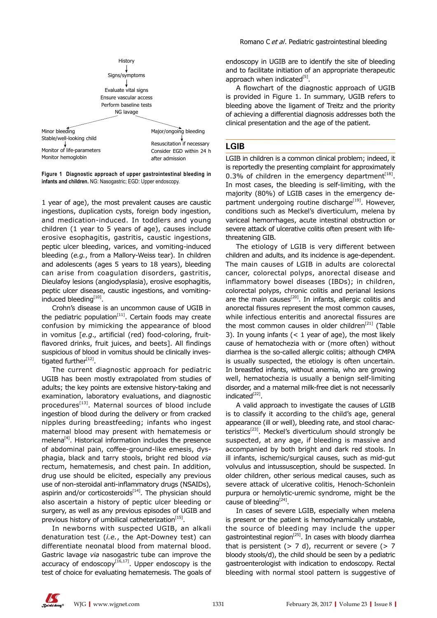

**Figure 1 Diagnostic approach of upper gastrointestinal bleeding in infants and children.** NG: Nasogastric; EGD: Upper endoscopy.

1 year of age), the most prevalent causes are caustic ingestions, duplication cysts, foreign body ingestion, and medication-induced. In toddlers and young children (1 year to 5 years of age), causes include erosive esophagitis, gastritis, caustic ingestions, peptic ulcer bleeding, varices, and vomiting-induced bleeding (*e.g.*, from a Mallory-Weiss tear). In children and adolescents (ages 5 years to 18 years), bleeding can arise from coagulation disorders, gastritis, Dieulafoy lesions (angiodysplasia), erosive esophagitis, peptic ulcer disease, caustic ingestions, and vomitinginduced bleeding[10].

Crohn's disease is an uncommon cause of UGIB in the pediatric population<sup>[11]</sup>. Certain foods may create confusion by mimicking the appearance of blood in vomitus [*e.g*., artificial (red) food-coloring, fruitflavored drinks, fruit juices, and beets]. All findings suspicious of blood in vomitus should be clinically investigated further<sup>[12]</sup>.

The current diagnostic approach for pediatric UGIB has been mostly extrapolated from studies of adults; the key points are extensive history-taking and examination, laboratory evaluations, and diagnostic procedures<sup>[13]</sup>. Maternal sources of blood include ingestion of blood during the delivery or from cracked nipples during breastfeeding; infants who ingest maternal blood may present with hematemesis or melena<sup>[4]</sup>. Historical information includes the presence of abdominal pain, coffee-ground-like emesis, dysphagia, black and tarry stools, bright red blood *via* rectum, hematemesis, and chest pain. In addition, drug use should be elicited, especially any previous use of non-steroidal anti-inflammatory drugs (NSAIDs), aspirin and/or corticosteroids $[14]$ . The physician should also ascertain a history of peptic ulcer bleeding or surgery, as well as any previous episodes of UGIB and previous history of umbilical catheterization $[15]$ .

In newborns with suspected UGIB, an alkali denaturation test (*i.e.*, the Apt-Downey test) can differentiate neonatal blood from maternal blood. Gastric lavage *via* nasogastric tube can improve the accuracy of endoscopy $[16,17]$ . Upper endoscopy is the test of choice for evaluating hematemesis. The goals of endoscopy in UGIB are to identify the site of bleeding and to facilitate initiation of an appropriate therapeutic approach when indicated $^{[5]}$ .

A flowchart of the diagnostic approach of UGIB is provided in Figure 1. In summary, UGIB refers to bleeding above the ligament of Treitz and the priority of achieving a differential diagnosis addresses both the clinical presentation and the age of the patient.

## **LGIB**

LGIB in children is a common clinical problem; indeed, it is reportedly the presenting complaint for approximately 0.3% of children in the emergency department<sup>[18]</sup>. In most cases, the bleeding is self-limiting, with the majority (80%) of LGIB cases in the emergency department undergoing routine discharge<sup>[19]</sup>. However, conditions such as Meckel's diverticulum, melena by variceal hemorrhages, acute intestinal obstruction or severe attack of ulcerative colitis often present with lifethreatening GIB.

The etiology of LGIB is very different between children and adults, and its incidence is age-dependent. The main causes of LGIB in adults are colorectal cancer, colorectal polyps, anorectal disease and inflammatory bowel diseases (IBDs); in children, colorectal polyps, chronic colitis and perianal lesions are the main causes<sup>[20]</sup>. In infants, allergic colitis and anorectal fissures represent the most common causes, while infectious enteritis and anorectal fissures are the most common causes in older children<sup>[21]</sup> (Table 3). In young infants  $(< 1$  year of age), the most likely cause of hematochezia with or (more often) without diarrhea is the so-called allergic colitis; although CMPA is usually suspected, the etiology is often uncertain. In breastfed infants, without anemia, who are growing well, hematochezia is usually a benign self-limiting disorder, and a maternal milk-free diet is not necessarily  $indicated^{[22]}$ .

A valid approach to investigate the causes of LGIB is to classify it according to the child's age, general appearance (ill or well), bleeding rate, and stool characteristics<sup>[23]</sup>. Meckel's diverticulum should strongly be suspected, at any age, if bleeding is massive and accompanied by both bright and dark red stools. In ill infants, ischemic/surgical causes, such as mid-gut volvulus and intussusception, should be suspected. In older children, other serious medical causes, such as severe attack of ulcerative colitis, Henoch-Schonlein purpura or hemolytic-uremic syndrome, might be the cause of bleeding<sup>[24]</sup>.

In cases of severe LGIB, especially when melena is present or the patient is hemodynamically unstable, the source of bleeding may include the upper gastrointestinal region $^{[25]}$ . In cases with bloody diarrhea that is persistent  $(> 7 d)$ , recurrent or severe  $(> 7 d)$ bloody stools/d), the child should be seen by a pediatric gastroenterologist with indication to endoscopy. Rectal bleeding with normal stool pattern is suggestive of

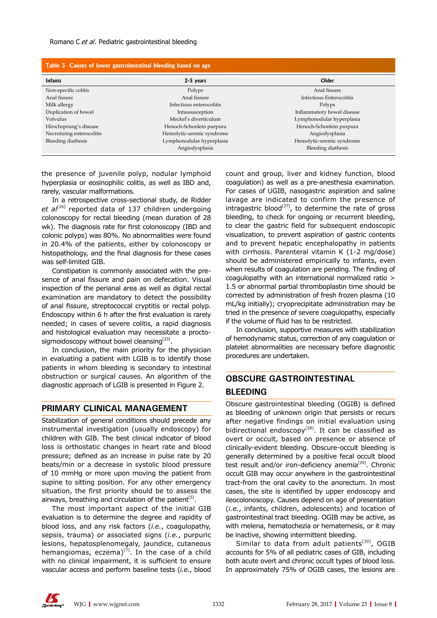| Table 3 Causes of lower gastrointestinal bleeding based on age |                           |                            |  |  |
|----------------------------------------------------------------|---------------------------|----------------------------|--|--|
| <b>Infants</b>                                                 | 2-5 years                 | Older                      |  |  |
| Non-specific colitis                                           | Polyps                    | Anal fissure               |  |  |
| Anal fissure                                                   | Anal fissure              | Infectious Enterocolitis   |  |  |
| Milk allergy                                                   | Infectious enterocolitis  | Polyps                     |  |  |
| Duplication of bowel                                           | Intussusception           | Inflammatory bowel disease |  |  |
| Volvulus                                                       | Meckel's diverticulum     | Lymphonodular hyperplasia  |  |  |
| Hirschsprung's disease                                         | Henoch-Schonlein purpura  | Henoch-Schonlein purpura   |  |  |
| Necrotizing enterocolitis                                      | Hemolytic-uremic syndrome | Angiodysplasia             |  |  |
| Bleeding diathesis                                             | Lymphonodular hyperplasia | Hemolytic-uremic syndrome  |  |  |
|                                                                | Angiodysplasia            | Bleeding diathesis         |  |  |

the presence of juvenile polyp, nodular lymphoid hyperplasia or eosinophilic colitis, as well as IBD and, rarely, vascular malformations.

In a retrospective cross-sectional study, de Ridder et al<sup>[26]</sup> reported data of 137 children undergoing colonoscopy for rectal bleeding (mean duration of 28 wk). The diagnosis rate for first colonoscopy (IBD and colonic polyps) was 80%. No abnormalities were found in 20.4% of the patients, either by colonoscopy or histopathology, and the final diagnosis for these cases was self-limited GIB.

Constipation is commonly associated with the presence of anal fissure and pain on defecation. Visual inspection of the perianal area as well as digital rectal examination are mandatory to detect the possibility of anal fissure, streptococcal cryptitis or rectal polyp. Endoscopy within 6 h after the first evaluation is rarely needed; in cases of severe colitis, a rapid diagnosis and histological evaluation may necessitate a proctosigmoidoscopy without bowel cleansing<sup>[23]</sup>.

In conclusion, the main priority for the physician in evaluating a patient with LGIB is to identify those patients in whom bleeding is secondary to intestinal obstruction or surgical causes. An algorithm of the diagnostic approach of LGIB is presented in Figure 2.

## **PRIMARY CLINICAL MANAGEMENT**

Stabilization of general conditions should precede any instrumental investigation (usually endoscopy) for children with GIB. The best clinical indicator of blood loss is orthostatic changes in heart rate and blood pressure; defined as an increase in pulse rate by 20 beats/min or a decrease in systolic blood pressure of 10 mmHg or more upon moving the patient from supine to sitting position. For any other emergency situation, the first priority should be to assess the airways, breathing and circulation of the patient<sup>[5]</sup>.

The most important aspect of the initial GIB evaluation is to determine the degree and rapidity of blood loss, and any risk factors (*i.e.*, coagulopathy, sepsis, trauma) or associated signs (*i.e.*, purpuric lesions, hepatosplenomegaly, jaundice, cutaneous hemangiomas, eczema)<sup>[7]</sup>. In the case of a child with no clinical impairment, it is sufficient to ensure vascular access and perform baseline tests (*i.e.*, blood

count and group, liver and kidney function, blood coagulation) as well as a pre-anesthesia examination. For cases of UGIB, nasogastric aspiration and saline lavage are indicated to confirm the presence of intragastric blood<sup>[27]</sup>, to determine the rate of gross bleeding, to check for ongoing or recurrent bleeding, to clear the gastric field for subsequent endoscopic visualization, to prevent aspiration of gastric contents and to prevent hepatic encephalopathy in patients with cirrhosis. Parenteral vitamin K (1-2 mg/dose) should be administered empirically to infants, even when results of coagulation are pending. The finding of coagulopathy with an international normalized ratio > 1.5 or abnormal partial thromboplastin time should be corrected by administration of fresh frozen plasma (10 mL/kg initially); cryoprecipitate administration may be tried in the presence of severe coagulopathy, especially if the volume of fluid has to be restricted.

In conclusion, supportive measures with stabilization of hemodynamic status, correction of any coagulation or platelet abnormalities are necessary before diagnostic procedures are undertaken.

## **OBSCURE GASTROINTESTINAL BLEEDING**

Obscure gastrointestinal bleeding (OGIB) is defined as bleeding of unknown origin that persists or recurs after negative findings on initial evaluation using bidirectional endoscopy<sup>[28]</sup>. It can be classified as overt or occult, based on presence or absence of clinically-evident bleeding. Obscure-occult bleeding is generally determined by a positive fecal occult blood test result and/or iron-deficiency anemia<sup>[29]</sup>. Chronic occult GIB may occur anywhere in the gastrointestinal tract-from the oral cavity to the anorectum. In most cases, the site is identified by upper endoscopy and ileocolonoscopy. Causes depend on age of presentation (*i.e.*, infants, children, adolescents) and location of gastrointestinal tract bleeding. OGIB may be active, as with melena, hematochezia or hematemesis, or it may be inactive, showing intermittent bleeding.

Similar to data from adult patients $[30]$ , OGIB accounts for 5% of all pediatric cases of GIB, including both acute overt and chronic occult types of blood loss. In approximately 75% of OGIB cases, the lesions are

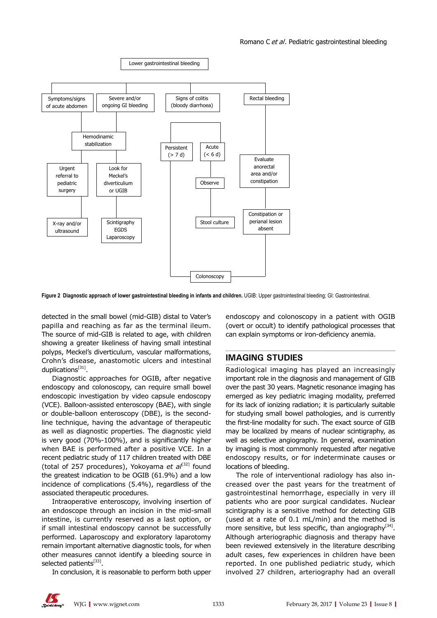

**Figure 2 Diagnostic approach of lower gastrointestinal bleeding in infants and children.** UGIB: Upper gastrointestinal bleeding; GI: Gastrointestinal.

detected in the small bowel (mid-GIB) distal to Vater's papilla and reaching as far as the terminal ileum. The source of mid-GIB is related to age, with children showing a greater likeliness of having small intestinal polyps, Meckel's diverticulum, vascular malformations, Crohn's disease, anastomotic ulcers and intestinal duplications $[31]$ .

Diagnostic approaches for OGIB, after negative endoscopy and colonoscopy, can require small bowel endoscopic investigation by video capsule endoscopy (VCE). Balloon-assisted enteroscopy (BAE), with single or double-balloon enteroscopy (DBE), is the secondline technique, having the advantage of therapeutic as well as diagnostic properties. The diagnostic yield is very good (70%-100%), and is significantly higher when BAE is performed after a positive VCE. In a recent pediatric study of 117 children treated with DBE (total of 257 procedures), Yokoyama *et al*<sup>[32]</sup> found the greatest indication to be OGIB (61.9%) and a low incidence of complications (5.4%), regardless of the associated therapeutic procedures.

Intraoperative enteroscopy, involving insertion of an endoscope through an incision in the mid-small intestine, is currently reserved as a last option, or if small intestinal endoscopy cannot be successfully performed. Laparoscopy and exploratory laparotomy remain important alternative diagnostic tools, for when other measures cannot identify a bleeding source in selected patients[33].

In conclusion, it is reasonable to perform both upper

endoscopy and colonoscopy in a patient with OGIB (overt or occult) to identify pathological processes that can explain symptoms or iron-deficiency anemia.

## **IMAGING STUDIES**

Radiological imaging has played an increasingly important role in the diagnosis and management of GIB over the past 30 years. Magnetic resonance imaging has emerged as key pediatric imaging modality, preferred for its lack of ionizing radiation; it is particularly suitable for studying small bowel pathologies, and is currently the first-line modality for such. The exact source of GIB may be localized by means of nuclear scintigraphy, as well as selective angiography. In general, examination by imaging is most commonly requested after negative endoscopy results, or for indeterminate causes or locations of bleeding.

The role of interventional radiology has also increased over the past years for the treatment of gastrointestinal hemorrhage, especially in very ill patients who are poor surgical candidates. Nuclear scintigraphy is a sensitive method for detecting GIB (used at a rate of 0.1 mL/min) and the method is more sensitive, but less specific, than angiography $[34]$ . Although arteriographic diagnosis and therapy have been reviewed extensively in the literature describing adult cases, few experiences in children have been reported. In one published pediatric study, which involved 27 children, arteriography had an overall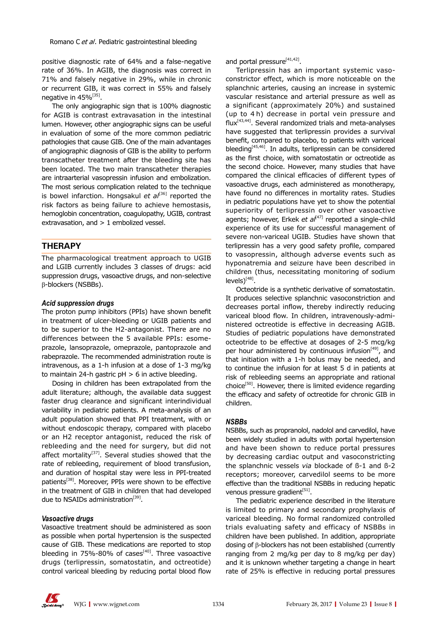positive diagnostic rate of 64% and a false-negative rate of 36%. In AGIB, the diagnosis was correct in 71% and falsely negative in 29%, while in chronic or recurrent GIB, it was correct in 55% and falsely negative in 45%<sup>[35]</sup>.

The only angiographic sign that is 100% diagnostic for AGIB is contrast extravasation in the intestinal lumen. However, other angiographic signs can be useful in evaluation of some of the more common pediatric pathologies that cause GIB. One of the main advantages of angiographic diagnosis of GIB is the ability to perform transcatheter treatment after the bleeding site has been located. The two main transcatheter therapies are intraarterial vasopressin infusion and embolization. The most serious complication related to the technique is bowel infarction. Hongsakul et al<sup>[36]</sup> reported the risk factors as being failure to achieve hemostasis, hemoglobin concentration, coagulopathy, UGIB, contrast extravasation, and > 1 embolized vessel.

## **THERAPY**

The pharmacological treatment approach to UGIB and LGIB currently includes 3 classes of drugs: acid suppression drugs, vasoactive drugs, and non-selective β-blockers (NSBBs).

#### *Acid suppression drugs*

The proton pump inhibitors (PPIs) have shown benefit in treatment of ulcer-bleeding or UGIB patients and to be superior to the H2-antagonist. There are no differences between the 5 available PPIs: esomeprazole, lansoprazole, omeprazole, pantoprazole and rabeprazole. The recommended administration route is intravenous, as a 1-h infusion at a dose of 1-3 mg/kg to maintain 24-h gastric  $pH > 6$  in active bleeding.

Dosing in children has been extrapolated from the adult literature; although, the available data suggest faster drug clearance and significant interindividual variability in pediatric patients. A meta-analysis of an adult population showed that PPI treatment, with or without endoscopic therapy, compared with placebo or an H2 receptor antagonist, reduced the risk of rebleeding and the need for surgery, but did not affect mortality<sup>[37]</sup>. Several studies showed that the rate of rebleeding, requirement of blood transfusion, and duration of hospital stay were less in PPI-treated patients<sup>[38]</sup>. Moreover, PPIs were shown to be effective in the treatment of GIB in children that had developed due to NSAIDs administration<sup>[39]</sup>.

#### *Vasoactive drugs*

Vasoactive treatment should be administered as soon as possible when portal hypertension is the suspected cause of GIB. These medications are reported to stop bleeding in  $75\% - 80\%$  of cases<sup>[40]</sup>. Three vasoactive drugs (terlipressin, somatostatin, and octreotide) control variceal bleeding by reducing portal blood flow

and portal pressure<sup>[41,42]</sup>.

Terlipressin has an important systemic vasoconstrictor effect, which is more noticeable on the splanchnic arteries, causing an increase in systemic vascular resistance and arterial pressure as well as a significant (approximately 20%) and sustained (up to 4 h) decrease in portal vein pressure and  $flux<sup>[43,44]</sup>$ . Several randomized trials and meta-analyses have suggested that terlipressin provides a survival benefit, compared to placebo, to patients with variceal bleeding[45,46]. In adults, terlipressin can be considered as the first choice, with somatostatin or octreotide as the second choice. However, many studies that have compared the clinical efficacies of different types of vasoactive drugs, each administered as monotherapy, have found no differences in mortality rates. Studies in pediatric populations have yet to show the potential superiority of terlipressin over other vasoactive agents; however, Erkek et al<sup>[47]</sup> reported a single-child experience of its use for successful management of severe non-variceal UGIB. Studies have shown that terlipressin has a very good safety profile, compared to vasopressin, although adverse events such as hyponatremia and seizure have been described in children (thus, necessitating monitoring of sodium  $levels)$ <sup>[48]</sup>.

Octeotride is a synthetic derivative of somatostatin. It produces selective splanchnic vasoconstriction and decreases portal inflow, thereby indirectly reducing variceal blood flow*.* In children, intravenously-administered octreotide is effective in decreasing AGIB. Studies of pediatric populations have demonstrated octeotride to be effective at dosages of 2-5 mcg/kg per hour administered by continuous infusion<sup>[49]</sup>, and that initiation with a 1-h bolus may be needed, and to continue the infusion for at least 5 d in patients at risk of rebleeding seems an appropriate and rational choice $[50]$ . However, there is limited evidence regarding the efficacy and safety of octreotide for chronic GIB in children.

#### *NSBBs*

NSBBs, such as propranolol, nadolol and carvedilol, have been widely studied in adults with portal hypertension and have been shown to reduce portal pressures by decreasing cardiac output and vasoconstricting the splanchnic vessels *via* blockade of ß-1 and ß-2 receptors; moreover, carvedilol seems to be more effective than the traditional NSBBs in reducing hepatic venous pressure gradient $[51]$ .

The pediatric experience described in the literature is limited to primary and secondary prophylaxis of variceal bleeding. No formal randomized controlled trials evaluating safety and efficacy of NSBBs in children have been published. In addition, appropriate dosing of β-blockers has not been established (currently ranging from 2 mg/kg per day to 8 mg/kg per day) and it is unknown whether targeting a change in heart rate of 25% is effective in reducing portal pressures

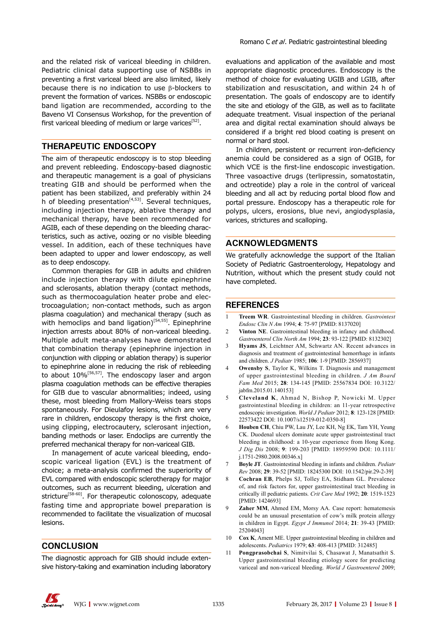and the related risk of variceal bleeding in children. Pediatric clinical data supporting use of NSBBs in preventing a first variceal bleed are also limited, likely because there is no indication to use β-blockers to prevent the formation of varices. NSBBs or endoscopic band ligation are recommended, according to the Baveno VI Consensus Workshop, for the prevention of first variceal bleeding of medium or large varices<sup>[52]</sup>.

## **THERAPEUTIC ENDOSCOPY**

The aim of therapeutic endoscopy is to stop bleeding and prevent rebleeding. Endoscopy-based diagnostic and therapeutic management is a goal of physicians treating GIB and should be performed when the patient has been stabilized, and preferably within 24 h of bleeding presentation<sup>[4,53]</sup>. Several techniques, including injection therapy, ablative therapy and mechanical therapy, have been recommended for AGIB, each of these depending on the bleeding characteristics, such as active, oozing or no visible bleeding vessel. In addition, each of these techniques have been adapted to upper and lower endoscopy, as well as to deep endoscopy.

Common therapies for GIB in adults and children include injection therapy with dilute epinephrine and sclerosants, ablation therapy (contact methods, such as thermocoagulation heater probe and electrocoagulation; non-contact methods, such as argon plasma coagulation) and mechanical therapy (such as with hemoclips and band ligation)<sup>[54,55]</sup>. Epinephrine injection arrests about 80% of non-variceal bleeding. Multiple adult meta-analyses have demonstrated that combination therapy (epinephrine injection in conjunction with clipping or ablation therapy) is superior to epinephrine alone in reducing the risk of rebleeding to about 10%[56,57]*.* The endoscopy laser and argon plasma coagulation methods can be effective therapies for GIB due to vascular abnormalities; indeed, using these, most bleeding from Mallory-Weiss tears stops spontaneously. For Dieulafoy lesions, which are very rare in children, endoscopy therapy is the first choice, using clipping, electrocautery, sclerosant injection, banding methods or laser. Endoclips are currently the preferred mechanical therapy for non-variceal GIB.

In management of acute variceal bleeding, endoscopic variceal ligation (EVL) is the treatment of choice; a meta-analysis confirmed the superiority of EVL compared with endoscopic sclerotherapy for major outcomes, such as recurrent bleeding, ulceration and stricture<sup>[58-60]</sup>. For therapeutic colonoscopy, adequate fasting time and appropriate bowel preparation is recommended to facilitate the visualization of mucosal lesions.

## **CONCLUSION**

The diagnostic approach for GIB should include extensive history-taking and examination including laboratory evaluations and application of the available and most appropriate diagnostic procedures. Endoscopy is the method of choice for evaluating UGIB and LGIB, after stabilization and resuscitation, and within 24 h of presentation. The goals of endoscopy are to identify the site and etiology of the GIB, as well as to facilitate adequate treatment. Visual inspection of the perianal area and digital rectal examination should always be considered if a bright red blood coating is present on normal or hard stool.

In children, persistent or recurrent iron-deficiency anemia could be considered as a sign of OGIB, for which VCE is the first-line endoscopic investigation. Three vasoactive drugs (terlipressin, somatostatin, and octreotide) play a role in the control of variceal bleeding and all act by reducing portal blood flow and portal pressure. Endoscopy has a therapeutic role for polyps, ulcers, erosions, blue nevi, angiodysplasia, varices, strictures and scalloping.

## **ACKNOWLEDGMENTS**

We gratefully acknowledge the support of the Italian Society of Pediatric Gastroenterology, Hepatology and Nutrition, without which the present study could not have completed.

## **REFERENCES**

- 1 **Treem WR**. Gastrointestinal bleeding in children. *Gastrointest Endosc Clin N Am* 1994; **4**: 75-97 [PMID: 8137020]
- 2 **Vinton NE**. Gastrointestinal bleeding in infancy and childhood. *Gastroenterol Clin North Am* 1994; **23**: 93-122 [PMID: 8132302]
- 3 **Hyams JS**, Leichtner AM, Schwartz AN. Recent advances in diagnosis and treatment of gastrointestinal hemorrhage in infants and children. *J Pediatr* 1985; **106**: 1-9 [PMID: 2856937]
- 4 **Owensby S**, Taylor K, Wilkins T. Diagnosis and management of upper gastrointestinal bleeding in children. *J Am Board Fam Med* 2015; **28**: 134-145 [PMID: 25567834 DOI: 10.3122/ jabfm.2015.01.140153]
- 5 **Cleveland K**, Ahmad N, Bishop P, Nowicki M. Upper gastrointestinal bleeding in children: an 11-year retrospective endoscopic investigation. *World J Pediatr* 2012; **8**: 123-128 [PMID: 22573422 DOI: 10.1007/s12519-012-0350-8]
- 6 **Houben CH**, Chiu PW, Lau JY, Lee KH, Ng EK, Tam YH, Yeung CK. Duodenal ulcers dominate acute upper gastrointestinal tract bleeding in childhood: a 10-year experience from Hong Kong. *J Dig Dis* 2008; **9**: 199-203 [PMID: 18959590 DOI: 10.1111/ j.1751-2980.2008.00346.x]
- 7 **Boyle JT**. Gastrointestinal bleeding in infants and children. *Pediatr Rev* 2008; **29**: 39-52 [PMID: 18245300 DOI: 10.1542/pir.29-2-39]
- 8 **Cochran EB**, Phelps SJ, Tolley EA, Stidham GL. Prevalence of, and risk factors for, upper gastrointestinal tract bleeding in critically ill pediatric patients. *Crit Care Med* 1992; **20**: 1519-1523 [PMID: 1424693]
- 9 **Zaher MM**, Ahmed EM, Morsy AA. Case report: hematemesis could be an unusual presentation of cow's milk protein allergy in children in Egypt. *Egypt J Immunol* 2014; **21**: 39-43 [PMID: 25204043]
- 10 **Cox K**, Ament ME. Upper gastrointestinal bleeding in children and adolescents. *Pediatrics* 1979; **63**: 408-413 [PMID: 312485]
- 11 **Pongprasobchai S**, Nimitvilai S, Chasawat J, Manatsathit S. Upper gastrointestinal bleeding etiology score for predicting variceal and non-variceal bleeding. *World J Gastroenterol* 2009;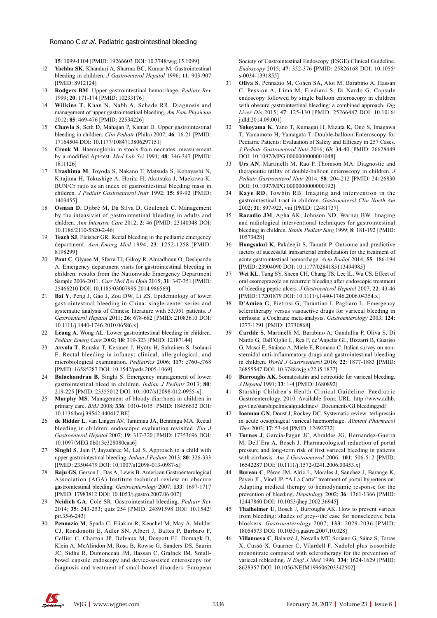#### Romano C et al. Pediatric gastrointestinal bleeding

**15**: 1099-1104 [PMID: 19266603 DOI: 10.3748/wjg.15.1099]

- 12 **Yachha SK**, Khanduri A, Sharma BC, Kumar M. Gastrointestinal bleeding in children. *J Gastroenterol Hepatol* 1996; **11**: 903-907 [PMID: 8912124]
- 13 **Rodgers BM**. Upper gastrointestinal hemorrhage. *Pediatr Rev* 1999; **20**: 171-174 [PMID: 10233176]
- 14 **Wilkins T**, Khan N, Nabh A, Schade RR. Diagnosis and management of upper gastrointestinal bleeding. *Am Fam Physician* 2012; **85**: 469-476 [PMID: 22534226]
- 15 **Chawla S**, Seth D, Mahajan P, Kamat D. Upper gastrointestinal bleeding in children. *Clin Pediatr* (Phila) 2007; **46**: 16-21 [PMID: 17164504 DOI: 10.1177/1084713806297151]
- 16 **Crook M**. Haemoglobin in stools from neonates: measurement by a modified Apt-test. *Med Lab Sci* 1991; **48**: 346-347 [PMID: 1811126]
- 17 **Urashima M**, Toyoda S, Nakano T, Matsuda S, Kobayashi N, Kitajima H, Tokushige A, Horita H, Akatsuka J, Maekawa K. BUN/Cr ratio as an index of gastrointestinal bleeding mass in children. *J Pediatr Gastroenterol Nutr* 1992; **15**: 89-92 [PMID: 1403455]
- 18 **Osman D**, Djibré M, Da Silva D, Goulenok C. Management by the intensivist of gastrointestinal bleeding in adults and children. *Ann Intensive Care* 2012; **2**: 46 [PMID: 23140348 DOI: 10.1186/2110-5820-2-46]
- 19 **Teach SJ**, Fleisher GR. Rectal bleeding in the pediatric emergency department. *Ann Emerg Med* 1994; **23**: 1252-1258 [PMID: 8198299]
- 20 **Pant C**, Olyaee M, Sferra TJ, Gilroy R, Almadhoun O, Deshpande A. Emergency department visits for gastrointestinal bleeding in children: results from the Nationwide Emergency Department Sample 2006-2011. *Curr Med Res Opin* 2015; **31**: 347-351 [PMID: 25466210 DOI: 10.1185/03007995.2014.986569]
- 21 **Bai Y**, Peng J, Gao J, Zou DW, Li ZS. Epidemiology of lower gastrointestinal bleeding in China: single-center series and systematic analysis of Chinese literature with 53,951 patients. *J Gastroenterol Hepatol* 2011; **26**: 678-682 [PMID: 21083610 DOI: 10.1111/j.1440-1746.2010.06586.x]
- 22 **Leung A**, Wong AL. Lower gastrointestinal bleeding in children. *Pediatr Emerg Care* 2002; **18**: 319-323 [PMID: 12187144]
- 23 **Arvola T**, Ruuska T, Keränen J, Hyöty H, Salminen S, Isolauri E. Rectal bleeding in infancy: clinical, allergological, and microbiological examination. *Pediatrics* 2006; **117**: e760-e768 [PMID: 16585287 DOI: 10.1542/peds.2005-1069]
- 24 **Balachandran B**, Singhi S. Emergency management of lower gastrointestinal bleed in children. *Indian J Pediatr* 2013; **80**: 219-225 [PMID: 23355012 DOI: 10.1007/s12098-012-0955-x]
- 25 **Murphy MS**. Management of bloody diarrhoea in children in primary care. *BMJ* 2008; **336**: 1010-1015 [PMID: 18456632 DOI: 10.1136/bmj.39542.440417.BE]
- 26 **de Ridder L**, van Lingen AV, Taminiau JA, Benninga MA. Rectal bleeding in children: endoscopic evaluation revisited. *Eur J Gastroenterol Hepatol* 2007; **19**: 317-320 [PMID: 17353696 DOI: 10.1097/MEG.0b013e328080caa6]
- 27 **Singhi S**, Jain P, Jayashree M, Lal S. Approach to a child with upper gastrointestinal bleeding. *Indian J Pediatr* 2013; **80**: 326-333 [PMID: 23504479 DOI: 10.1007/s12098-013-0987-x]
- 28 **Raju GS**, Gerson L, Das A, Lewis B. American Gastroenterological Association (AGA) Institute technical review on obscure gastrointestinal bleeding. *Gastroenterology* 2007; **133**: 1697-1717 [PMID: 17983812 DOI: 10.1053/j.gastro.2007.06.007]
- 29 **Neidich GA**, Cole SR. Gastrointestinal bleeding. *Pediatr Rev* 2014; **35**: 243-253; quiz 254 [PMID: 24891598 DOI: 10.1542/ pir.35-6-243]
- 30 **Pennazio M**, Spada C, Eliakim R, Keuchel M, May A, Mulder CJ, Rondonotti E, Adler SN, Albert J, Baltes P, Barbaro F, Cellier C, Charton JP, Delvaux M, Despott EJ, Domagk D, Klein A, McAlindon M, Rosa B, Rowse G, Sanders DS, Saurin JC, Sidhu R, Dumonceau JM, Hassan C, Gralnek IM. Smallbowel capsule endoscopy and device-assisted enteroscopy for diagnosis and treatment of small-bowel disorders: European

Society of Gastrointestinal Endoscopy (ESGE) Clinical Guideline. *Endoscopy* 2015; **47**: 352-376 [PMID: 25826168 DOI: 10.1055/ s-0034-1391855]

- 31 **Oliva S**, Pennazio M, Cohen SA, Aloi M, Barabino A, Hassan C, Pession A, Lima M, Frediani S, Di Nardo G. Capsule endoscopy followed by single balloon enteroscopy in children with obscure gastrointestinal bleeding: a combined approach. *Dig Liver Dis* 2015; **47**: 125-130 [PMID: 25266487 DOI: 10.1016/ j.dld.2014.09.001]
- 32 **Yokoyama K**, Yano T, Kumagai H, Mizuta K, Ono S, Imagawa T, Yamamoto H, Yamagata T. Double-balloon Enteroscopy for Pediatric Patients: Evaluation of Safety and Efficacy in 257 Cases. *J Pediatr Gastroenterol Nutr* 2016; **63**: 34-40 [PMID: 26628449 DOI: 10.1097/MPG.0000000000001048]
- 33 **Urs AN**, Martinelli M, Rao P, Thomson MA. Diagnostic and therapeutic utility of double-balloon enteroscopy in children. *J Pediatr Gastroenterol Nutr* 2014; **58**: 204-212 [PMID: 24126830 DOI: 10.1097/MPG.0000000000000192]
- Kaye RD, Towbin RB. Imaging and intervention in the gastrointestinal tract in children. *Gastroenterol Clin North Am* 2002; **31**: 897-923, viii [PMID: 12481737]
- 35 **Racadio JM**, Agha AK, Johnson ND, Warner BW. Imaging and radiological interventional techniques for gastrointestinal bleeding in children. *Semin Pediatr Surg* 1999; **8**: 181-192 [PMID: 10573428]
- 36 **Hongsakul K**, Pakdeejit S, Tanutit P. Outcome and predictive factors of successful transarterial embolization for the treatment of acute gastrointestinal hemorrhage. *Acta Radiol* 2014; **55**: 186-194 [PMID: 23904090 DOI: 10.1177/0284185113494985]
- 37 **Wei KL**, Tung SY, Sheen CH, Chang TS, Lee IL, Wu CS. Effect of oral esomeprazole on recurrent bleeding after endoscopic treatment of bleeding peptic ulcers. *J Gastroenterol Hepatol* 2007; **22**: 43-46 [PMID: 17201879 DOI: 10.1111/j.1440-1746.2006.04354.x]
- 38 **D'Amico G**, Pietrosi G, Tarantino I, Pagliaro L. Emergency sclerotherapy versus vasoactive drugs for variceal bleeding in cirrhosis: a Cochrane meta-analysis. *Gastroenterology* 2003; **124**: 1277-1291 [PMID: 12730868]
- 39 **Cardile S**, Martinelli M, Barabino A, Gandullia P, Oliva S, Di Nardo G, Dall'Oglio L, Rea F, de'Angelis GL, Bizzarri B, Guariso G, Masci E, Staiano A, Miele E, Romano C. Italian survey on nonsteroidal anti-inflammatory drugs and gastrointestinal bleeding in children. *World J Gastroenterol* 2016; **22**: 1877-1883 [PMID: 26855547 DOI: 10.3748/wjg.v22.i5.1877]
- **Burroughs AK**. Somatostatin and octreotide for variceal bleeding. *J Hepatol* 1991; **13**: 1-4 [PMID: 1680892]
- 41 Starship Children's Health Clinical Guideline. Paediatric Gastroenterology. 2010. Available from: URL: http://www.adhb. govt.nz/starshipclinicalguidelines/\_Documents/GI bleeding.pdf
- 42 **Ioannou GN**, Doust J, Rockey DC. Systematic review: terlipressin in acute oesophageal variceal haemorrhage. *Aliment Pharmacol Ther* 2003; **17**: 53-64 [PMID: 12492732]
- 43 **Turnes J**, Garcia-Pagan JC, Abraldes JG, Hernandez-Guerra M, Dell'Era A, Bosch J. Pharmacological reduction of portal pressure and long-term risk of first variceal bleeding in patients with cirrhosis. *Am J Gastroenterol* 2006; **101**: 506-512 [PMID: 16542287 DOI: 10.1111/j.1572-0241.2006.00453.x]
- 44 **Bureau C**, Péron JM, Alric L, Morales J, Sanchez J, Barange K, Payen JL, Vinel JP. "A La Carte" treatment of portal hypertension: Adapting medical therapy to hemodynamic response for the prevention of bleeding. *Hepatology* 2002; **36**: 1361-1366 [PMID: 12447860 DOI: 10.1053/jhep.2002.36945]
- Thalheimer U, Bosch J, Burroughs AK. How to prevent varices from bleeding: shades of grey--the case for nonselective beta blockers. *Gastroenterology* 2007; **133**: 2029-2036 [PMID: 18054573 DOI: 10.1053/j.gastro.2007.10.028]
- 46 **Villanueva C**, Balanzó J, Novella MT, Soriano G, Sáinz S, Torras X, Cussó X, Guarner C, Vilardell F. Nadolol plus isosorbide mononitrate compared with sclerotherapy for the prevention of variceal rebleeding. *N Engl J Med* 1996; **334**: 1624-1629 [PMID: 8628357 DOI: 10.1056/NEJM199606203342502]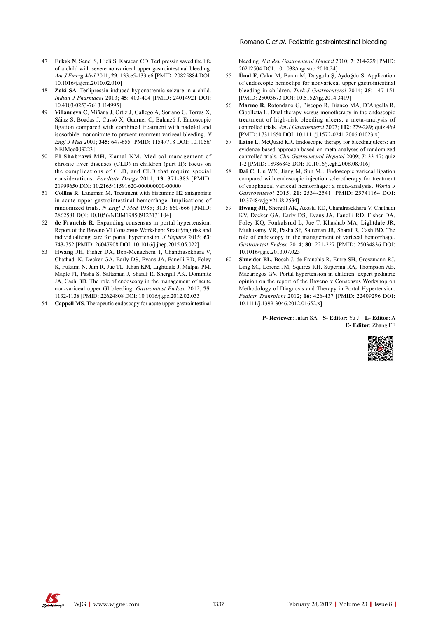- 47 **Erkek N**, Senel S, Hizli S, Karacan CD. Terlipressin saved the life of a child with severe nonvariceal upper gastrointestinal bleeding. *Am J Emerg Med* 2011; **29**: 133.e5-133.e6 [PMID: 20825884 DOI: 10.1016/j.ajem.2010.02.010]
- 48 **Zaki SA**. Terlipressin-induced hyponatremic seizure in a child. *Indian J Pharmacol* 2013; **45**: 403-404 [PMID: 24014921 DOI: 10.4103/0253-7613.114995]
- 49 **Villanueva C**, Miñana J, Ortiz J, Gallego A, Soriano G, Torras X, Sáinz S, Boadas J, Cussó X, Guarner C, Balanzó J. Endoscopic ligation compared with combined treatment with nadolol and isosorbide mononitrate to prevent recurrent variceal bleeding. *N Engl J Med* 2001; **345**: 647-655 [PMID: 11547718 DOI: 10.1056/ NEJMoa003223]
- 50 **El-Shabrawi MH**, Kamal NM. Medical management of chronic liver diseases (CLD) in children (part II): focus on the complications of CLD, and CLD that require special considerations. *Paediatr Drugs* 2011; **13**: 371-383 [PMID: 21999650 DOI: 10.2165/11591620-000000000-00000]
- 51 **Collins R**, Langman M. Treatment with histamine H2 antagonists in acute upper gastrointestinal hemorrhage. Implications of randomized trials. *N Engl J Med* 1985; **313**: 660-666 [PMID: 2862581 DOI: 10.1056/NEJM198509123131104]
- 52 **de Franchis R**. Expanding consensus in portal hypertension: Report of the Baveno VI Consensus Workshop: Stratifying risk and individualizing care for portal hypertension. *J Hepatol* 2015; **63**: 743-752 [PMID: 26047908 DOI: 10.1016/j.jhep.2015.05.022]
- 53 **Hwang JH**, Fisher DA, Ben-Menachem T, Chandrasekhara V, Chathadi K, Decker GA, Early DS, Evans JA, Fanelli RD, Foley K, Fukami N, Jain R, Jue TL, Khan KM, Lightdale J, Malpas PM, Maple JT, Pasha S, Saltzman J, Sharaf R, Shergill AK, Dominitz JA, Cash BD. The role of endoscopy in the management of acute non-variceal upper GI bleeding. *Gastrointest Endosc* 2012; **75**: 1132-1138 [PMID: 22624808 DOI: 10.1016/j.gie.2012.02.033]
- 54 **Cappell MS**. Therapeutic endoscopy for acute upper gastrointestinal

bleeding. *Nat Rev Gastroenterol Hepatol* 2010; **7**: 214-229 [PMID: 20212504 DOI: 10.1038/nrgastro.2010.24]

- 55 **Ünal F**, Çakır M, Baran M, Duygulu Ş, Aydoğdu S. Application of endoscopic hemoclips for nonvariceal upper gastrointestinal bleeding in children. *Turk J Gastroenterol* 2014; **25**: 147-151 [PMID: 25003673 DOI: 10.5152/tjg.2014.3419]
- 56 **Marmo R**, Rotondano G, Piscopo R, Bianco MA, D'Angella R, Cipolletta L. Dual therapy versus monotherapy in the endoscopic treatment of high-risk bleeding ulcers: a meta-analysis of controlled trials. *Am J Gastroenterol* 2007; **102**: 279-289; quiz 469 [PMID: 17311650 DOI: 10.1111/j.1572-0241.2006.01023.x]
- 57 **Laine L**, McQuaid KR. Endoscopic therapy for bleeding ulcers: an evidence-based approach based on meta-analyses of randomized controlled trials. *Clin Gastroenterol Hepatol* 2009; **7**: 33-47; quiz 1-2 [PMID: 18986845 DOI: 10.1016/j.cgh.2008.08.016]
- 58 **Dai C**, Liu WX, Jiang M, Sun MJ. Endoscopic variceal ligation compared with endoscopic injection sclerotherapy for treatment of esophageal variceal hemorrhage: a meta-analysis. *World J Gastroenterol* 2015; **21**: 2534-2541 [PMID: 25741164 DOI: 10.3748/wjg.v21.i8.2534]
- 59 **Hwang JH**, Shergill AK, Acosta RD, Chandrasekhara V, Chathadi KV, Decker GA, Early DS, Evans JA, Fanelli RD, Fisher DA, Foley KQ, Fonkalsrud L, Jue T, Khashab MA, Lightdale JR, Muthusamy VR, Pasha SF, Saltzman JR, Sharaf R, Cash BD. The role of endoscopy in the management of variceal hemorrhage. *Gastrointest Endosc* 2014; **80**: 221-227 [PMID: 25034836 DOI: 10.1016/j.gie.2013.07.023]
- 60 **Shneider BL**, Bosch J, de Franchis R, Emre SH, Groszmann RJ, Ling SC, Lorenz JM, Squires RH, Superina RA, Thompson AE, Mazariegos GV. Portal hypertension in children: expert pediatric opinion on the report of the Baveno v Consensus Workshop on Methodology of Diagnosis and Therapy in Portal Hypertension. *Pediatr Transplant* 2012; **16**: 426-437 [PMID: 22409296 DOI: 10.1111/j.1399-3046.2012.01652.x]

**P- Reviewer**: Jafari SA **S- Editor**: Yu J **L- Editor**: A **E- Editor**: Zhang FF